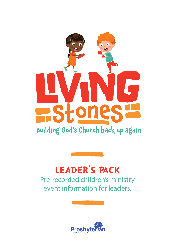

### Building God's Church back up again

## **LEADER'S PACK**

Pre-recorded children's ministry event information for leaders.

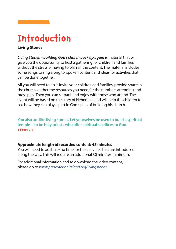### **Introduction**

#### **Living Stones**

*Living Stones – building God's church back up again* is material that will give you the opportunity to host a gathering for children and families without the stress of having to plan all the content. The material includes some songs to sing along to, spoken content and ideas for activities that can be done together.

All you will need to do is invite your children and families, provide space in the church, gather the resources you need for the numbers attending and press play. Then you can sit back and enjoy with those who attend. The event will be based on the story of Nehemiah and will help the children to see how they can play a part in God's plan of building his church.

**You also are like living stones. Let yourselves be used to build a spiritual temple—to be holy priests who offer spiritual sacrifices to God. 1 Peter 2:5**

#### **Approximate length of recorded content: 48 minutes**

You will need to add in extra time for the activities that are introduced along the way. This will require an additional 30 minutes minimum.

For additional information and to download the video content, please go to *[www.presbyterianireland.org/livingstones](http://www.presbyterianireland.org/livingstones)*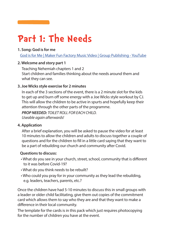### **Part 1: The Needs**

#### **1. Song: God is for me**

[God is for Me | Maker Fun Factory Music Video | Group Publishing - YouTube](https://www.youtube.com/watch?v=ZmMFCMiT-ac)

#### **2. Welcome and story part 1**

Teaching Nehemiah chapters 1 and 2 Start children and families thinking about the needs around them and what they can see.

#### **3. Joe Wicks style exercise for 2 minutes**

In each of the 3 sections of the event, there is a 2 minute slot for the kids to get up and burn off some energy with a Joe Wicks style workout by CJ. This will allow the children to be active in spurts and hopefully keep their attention through the other parts of the programme.

*PROP NEEDED: TOILET ROLL FOR EACH CHILD. Useable again afterwards!*

#### **4. Application**

After a brief explanation, you will be asked to pause the video for at least 10 minutes to allow the children and adults to discuss together a couple of questions and for the children to fill in a little card saying that they want to be a part of rebuilding our church and community after Covid.

#### **Questions to discuss:**

- What do you see in your church, street, school, community that is different to it was before Covid-19?
- What do you think needs to be rebuilt?
- Who could you pray for in your community as they lead the rebuilding, e.g. leaders, teachers, parents, etc.?

Once the children have had 5-10 minutes to discuss this in small groups with a leader or older child facilitating, give them out copies of the commitment card which allows them to say who they are and that they want to make a difference in their local community.

The template for the cards is in this pack which just requires photocopying for the number of children you have at the event.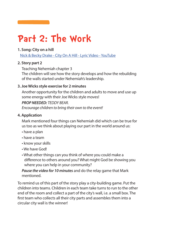## **Part 2: The Work**

#### **1. Song: City on a hill**

[Nick & Becky Drake - City On A Hill - Lyric Video - YouTube](https://www.youtube.com/watch?v=lTEadEftdnM)

#### **2. Story part 2**

Teaching Nehemiah chapter 3

The children will see how the story develops and how the rebuilding of the walls started under Nehemiah's leadership.

#### **3. Joe Wicks style exercise for 2 minutes**

Another opportunity for the children and adults to move and use up some energy with their Joe Wicks style moves!

### *PROP NEEDED: TEDDY BEAR.*

*Encourage children to bring their own to the event!*

#### **4. Application**

Mark mentioned four things can Nehemiah did which can be true for us too as we think about playing our part in the world around us:

- have a plan
- have a team
- know your skills
- We have God!
- What other things can you think of where you could make a difference to others around you? What might God be showing you where you can help in your community?

*Pause the video for 10 minutes* and do the relay game that Mark mentioned.

To remind us of this part of the story play a city-building game. Put the children into teams. Children in each team take turns to run to the other end of the room and collect a part of the city's wall, i.e. a small box. The first team who collects all their city parts and assembles them into a circular city wall is the winner!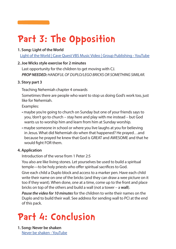# **Part 3: The Opposition**

#### **1. Song: Light of the World**

[Light of the World | Cave Quest VBS Music Video | Group Publishing - YouTube](https://www.youtube.com/watch?v=eI302Av7vSI)

#### **2. Joe Wicks style exercise for 2 minutes**

Last opportunity for the children to get moving with CJ. *PROP NEEDED: HANDFUL OF DUPLO/LEGO BRICKS OR SOMETHING SIMILAR.*

#### **3. Story part 3**

Teaching Nehemiah chapter 4 onwards

Sometimes there are people who want to stop us doing God's work too, just like for Nehemiah.

Examples:

- maybe you're going to church on Sunday but one of your friends says to you, 'don't go to church – stay here and play with me instead – but God wants us to worship him and learn from him at Sunday worship.
- maybe someone in school or where you live laughs at you for believing in Jesus. What did Nehemiah do when that happened? He prayed…and because he prayed he knew that God is GREAT and AWESOME and that he would fight FOR them.

#### **4. Application**

Introduction of the verse from 1 Peter 2:5

You also are like living stones. Let yourselves be used to build a spiritual temple—to be holy priests who offer spiritual sacrifices to God.

Give each child a Duplo block and access to a marker pen. Have each child write their name on one of the bricks (and they can draw a wee picture on it too if they want). When done, one at a time, come up to the front and place bricks on top of the others and build a wall (not a tower – a **wall**).

*Pause the video for 10 minutes* for the children to write their names on the Duplo and to build their wall. See address for sending wall to PCI at the end of this pack.

### **Part 4: Conclusion**

**1. Song: Never be shaken** [Never be shaken - YouTube](https://www.youtube.com/watch?v=Xk3QHtkszPs&t=19s)